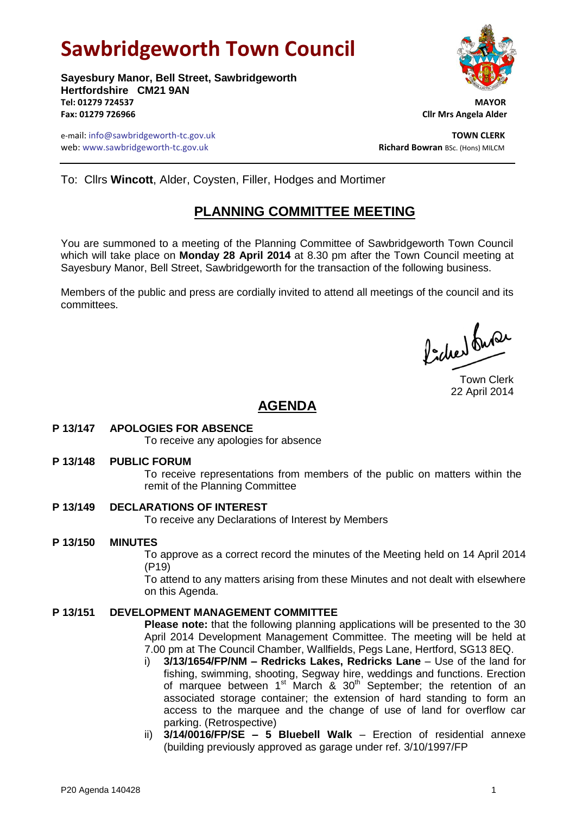# **Sawbridgeworth Town Council**

**Sayesbury Manor, Bell Street, Sawbridgeworth Hertfordshire CM21 9AN Tel: 01279 724537 MAYOR Fax: 01279 726966 Cllr Mrs Angela Alder**

e-mail: info@sawbridgeworth-tc.gov.uk **TOWN CLERK** web: www.sawbridgeworth-tc.gov.uk<br> **Richard Bowran** BSc. (Hons) MILCM



To: Cllrs **Wincott**, Alder, Coysten, Filler, Hodges and Mortimer

# **PLANNING COMMITTEE MEETING**

You are summoned to a meeting of the Planning Committee of Sawbridgeworth Town Council which will take place on **Monday 28 April 2014** at 8.30 pm after the Town Council meeting at Sayesbury Manor, Bell Street, Sawbridgeworth for the transaction of the following business.

Members of the public and press are cordially invited to attend all meetings of the council and its committees.

Poches buse

Town Clerk 22 April 2014

# **AGENDA**

# **P 13/147 APOLOGIES FOR ABSENCE**

To receive any apologies for absence

**P 13/148 PUBLIC FORUM**

To receive representations from members of the public on matters within the remit of the Planning Committee

# **P 13/149 DECLARATIONS OF INTEREST**

To receive any Declarations of Interest by Members

# **P 13/150 MINUTES**

To approve as a correct record the minutes of the Meeting held on 14 April 2014 (P19)

To attend to any matters arising from these Minutes and not dealt with elsewhere on this Agenda.

# **P 13/151 DEVELOPMENT MANAGEMENT COMMITTEE**

**Please note:** that the following planning applications will be presented to the 30 April 2014 Development Management Committee. The meeting will be held at 7.00 pm at The Council Chamber, Wallfields, Pegs Lane, Hertford, SG13 8EQ.

- i) **3/13/1654/FP/NM – Redricks Lakes, Redricks Lane** Use of the land for fishing, swimming, shooting, Segway hire, weddings and functions. Erection of marquee between  $1^{st}$  March &  $30^{th}$  September; the retention of an associated storage container; the extension of hard standing to form an access to the marquee and the change of use of land for overflow car parking. (Retrospective)
- ii) **3/14/0016/FP/SE – 5 Bluebell Walk** Erection of residential annexe (building previously approved as garage under ref. 3/10/1997/FP